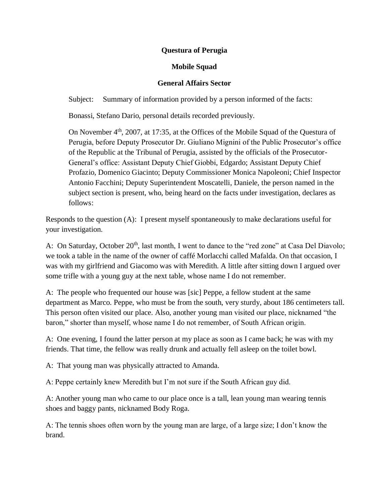## **Questura of Perugia**

## **Mobile Squad**

## **General Affairs Sector**

Subject: Summary of information provided by a person informed of the facts:

Bonassi, Stefano Dario, personal details recorded previously.

On November 4th, 2007, at 17:35, at the Offices of the Mobile Squad of the Questura of Perugia, before Deputy Prosecutor Dr. Giuliano Mignini of the Public Prosecutor's office of the Republic at the Tribunal of Perugia, assisted by the officials of the Prosecutor-General's office: Assistant Deputy Chief Giobbi, Edgardo; Assistant Deputy Chief Profazio, Domenico Giacinto; Deputy Commissioner Monica Napoleoni; Chief Inspector Antonio Facchini; Deputy Superintendent Moscatelli, Daniele, the person named in the subject section is present, who, being heard on the facts under investigation, declares as follows:

Responds to the question (A): I present myself spontaneously to make declarations useful for your investigation.

A: On Saturday, October 20<sup>th</sup>, last month, I went to dance to the "red zone" at Casa Del Diavolo; we took a table in the name of the owner of caffé Morlacchi called Mafalda. On that occasion, I was with my girlfriend and Giacomo was with Meredith. A little after sitting down I argued over some trifle with a young guy at the next table, whose name I do not remember.

A: The people who frequented our house was [sic] Peppe, a fellow student at the same department as Marco. Peppe, who must be from the south, very sturdy, about 186 centimeters tall. This person often visited our place. Also, another young man visited our place, nicknamed "the baron," shorter than myself, whose name I do not remember, of South African origin.

A: One evening, I found the latter person at my place as soon as I came back; he was with my friends. That time, the fellow was really drunk and actually fell asleep on the toilet bowl.

A: That young man was physically attracted to Amanda.

A: Peppe certainly knew Meredith but I'm not sure if the South African guy did.

A: Another young man who came to our place once is a tall, lean young man wearing tennis shoes and baggy pants, nicknamed Body Roga.

A: The tennis shoes often worn by the young man are large, of a large size; I don't know the brand.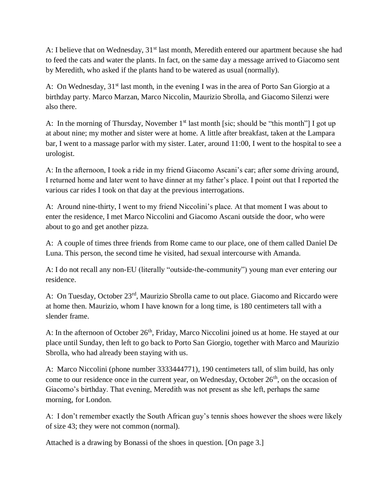A: I believe that on Wednesday, 31<sup>st</sup> last month, Meredith entered our apartment because she had to feed the cats and water the plants. In fact, on the same day a message arrived to Giacomo sent by Meredith, who asked if the plants hand to be watered as usual (normally).

A: On Wednesday, 31<sup>st</sup> last month, in the evening I was in the area of Porto San Giorgio at a birthday party. Marco Marzan, Marco Niccolin, Maurizio Sbrolla, and Giacomo Silenzi were also there.

A: In the morning of Thursday, November  $1<sup>st</sup>$  last month [sic; should be "this month"] I got up at about nine; my mother and sister were at home. A little after breakfast, taken at the Lampara bar, I went to a massage parlor with my sister. Later, around 11:00, I went to the hospital to see a urologist.

A: In the afternoon, I took a ride in my friend Giacomo Ascani's car; after some driving around, I returned home and later went to have dinner at my father's place. I point out that I reported the various car rides I took on that day at the previous interrogations.

A: Around nine-thirty, I went to my friend Niccolini's place. At that moment I was about to enter the residence, I met Marco Niccolini and Giacomo Ascani outside the door, who were about to go and get another pizza.

A: A couple of times three friends from Rome came to our place, one of them called Daniel De Luna. This person, the second time he visited, had sexual intercourse with Amanda.

A: I do not recall any non-EU (literally "outside-the-community") young man ever entering our residence.

A: On Tuesday, October 23<sup>rd</sup>, Maurizio Sbrolla came to out place. Giacomo and Riccardo were at home then. Maurizio, whom I have known for a long time, is 180 centimeters tall with a slender frame.

A: In the afternoon of October 26<sup>th</sup>, Friday, Marco Niccolini joined us at home. He stayed at our place until Sunday, then left to go back to Porto San Giorgio, together with Marco and Maurizio Sbrolla, who had already been staying with us.

A: Marco Niccolini (phone number 3333444771), 190 centimeters tall, of slim build, has only come to our residence once in the current year, on Wednesday, October 26<sup>th</sup>, on the occasion of Giacomo's birthday. That evening, Meredith was not present as she left, perhaps the same morning, for London.

A: I don't remember exactly the South African guy's tennis shoes however the shoes were likely of size 43; they were not common (normal).

Attached is a drawing by Bonassi of the shoes in question. [On page 3.]